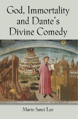# God, Immortality and Dante's Divine Comedy



A DELAN SALIMA PAGE ILMANA DEL MANUEL IL VANO POULA SUODI SALIMA PALLA MOVA DEL DI SULTA DANI SAMO PILLIU.<br>Poli l'essi il scripto Anni 2000, il province a completo dell'Internetti di Cara Mova VIII al Cara il Nord il Mondo

# Mario Sanci Leo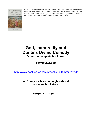God, Immortality and Dante's Divine Comedy



Marto Sanct Lec

*Socrates: "The unexamined life is not worth living." But, what are we to examine about our lives? Mario Sanci Leo puts forth life's quintessential question: "Is life meaningful or meaningless?" He then suggests a path, the pursuit of virtue and wisdom, that can lead to a noble happy life and spiritual bliss.*

# **God, Immorality and Dante's Divine Comedy**

**Order the complete book from** 

# **Booklocker.com**

http://www.booklocker.com/p/books/8618.html?s=pdf

**or from your favorite neighborhood or online bookstore.** 

**Enjoy your free excerpt below!**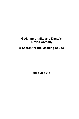### **God, Immortality and Dante's Divine Comedy**

## **A Search for the Meaning of Life**

**Mario Sanci Leo**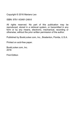Copyright © 2016 Mariano Leo

ISBN: 978-1-63491-248-8

All rights reserved. No part of this publication may be reproduced, stored in a retrieval system, or transmitted in any form or by any means, electronic, mechanical, recording or otherwise, without the prior written permission of the author.

Published by BookLocker.com, Inc., Bradenton, Florida, U.S.A.

Printed on acid-free paper.

BookLocker.com, Inc. 2016

First Edition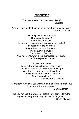### **Introduction**

"The unexamined life is not worth living." Socrates

"Life is a mystery that cannot be solved, but it must be lived." Leonardo Da Vinci

"What a piece of work is man! How noble in reason! How infinite in faculty! In form and moving how express and admirable! In action how like an angel! In apprehension how like a god $\sim$ The beauty of the world! The paragon of animals! And yet, to me, what is this quintessence of dust?" – Shakespeare's Hamlet

"Out, out brief candle! Life's but a walking shadow, a poor player That struts and frets its hour upon the stage And then is heard no more. It is a tale Told by an idiot, Full of sound and fury, Signifying nothing." – Shakespeare's Macbeth

"Consider your origin; you were not born to live like brutes, but to pursue virtue and wisdom."

-Dante Alighieri

"Do you not see that we are all caterpillars, born to form the angelic butterfly which wings its way to judgment?" - Dante Alighieri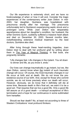Our life experience is extremely short, and we have no foreknowledge of when or how it will end. Consider the tragic experiences of the contemporary writer Joan Didion. In mid-2003, her daughter, Quintana, was hospitalized with pneumonia shortly after her marriage. The pneumonia unfortunately led to Quintana's experiencing septic shock and a prolonged coma. While Joan Didion was desperately apprehensive about her daughter's condition, her husband, the writer Dominic Quinn, suddenly suffered a massive heart attack and died on December 30, 2003. Several months later, notwithstanding extensive medical treatment by the best doctors, Quintana also died.

After living through these heart-rending tragedies, Joan Didion tried to deal with her profound grief by writing about them in The Year of Magical Thinking. In that book, she poignantly remarks:

"Life changes fast. Life changes in the instant. You sit down to dinner and life, as you know it, ends."

Our lives can change traumatically in an instant, but we, like Joan Didion, cannot know when the instant of such traumatic change will occur. Of course, the most traumatic changes in our life occur at birth and at death. We do not know the preexistence source of our birth. And, except for those who commit suicide, we do not know precisely when our death will occur, However, obviously, we do know that it definitely will die at some time. Because death is life's final act, we want it to be a good act. That requires that we live a good life. Only a good life will assure us of a good death – a tranquil acceptance of life's termination and a hope for our continuance in some sublimated form hereafter.

Should we fear death? No, at least not according to three of Western Civilizations' most profound thinkers: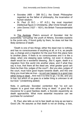- Socrates (469 399 B.C.), the Greek Philosopher regarded as the father of philosophy, the incarnation of human wisdom;
- St. Paul (5 B.C.  $-$  67 A.D.), the most important intellectual figure in Christianity, after Christ himself; and
- John Donne (1527 1631), the British Transcendentalist poet.

In The Apolog**y**, Plato's account of Socrates' trial for purportedly "corrupting" the youth of Athens, Socrates explains to the jurors why, if found guilty by them, he does not fear the likely sentence of death:

"Death is one of two things; either the dead man is nothing, and has no consciousness of anything at all, or it is, as people say, a change and a migration for the soul from this place here to another place. If there is no consciousness and it is like a sleep, when one sleeping sees nothing, not even in dreams, death would be a wonderful blessing…But if, again, death is a migration from this world into another place, and if what they say is true, that there all the dead are, what greater good can there be than this, judges of the court?...But you also, judges of the court, must have good hopes towards death, and this one thing you must take as true  $-$  no evil can happen to a good man either living or dead…And now it is time to go, I to die, and you to live, but which of us goes to a better thing is unknown to all but God." (Underlining added)

Note, in particular, Socrates' contention that "no evil can happen to a good man either living or dead." A good life is insurance for a good fearless death, a Socratic equanimity as death approaches. What more essential insurance can we purchase for ourselves?

St. Paul, also tells us not to fear death as long as we lead a Good Life. He assures us that death is not an ending, a loss,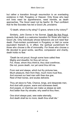but rather a transition through resurrection to an everlasting existence in Hell, Purgatory or Heaven. Only those who lead evil lives need be apprehensive, need tremble, as death approaches. The Good need not be fearful. St. Paul confident that he like Socrates has led a Good Life, proclaims:

"O death, where is thy sting? O grave, where is thy victory?"

Similarly, John Donne in his Sonnet, Death Be Not Proud, asserts that death is a welcome transition for those who lead a Good Life. Only individuals whose behaviors are evil need fear death. Post-mortem punishment in Purgatory or Hell (or some equivalent thereof) is, in effect, the spiritual punishment for those who choose a life of immorality. For those who choose a life devoted to good works, sacrifice, compassion and charity, death holds no fear.

"Death be not proud, though some have called thee Mighty and dreadful, for thou art not so, For, those, whom thou think'st, thou dost overthrow, Die not, poore death, nor yet canst thou kill me.

From rest and sleepe, which but thy pictures bee, Much pleasure, then from thee, much more must flow, And soonest our best men with thee doe goe, Rest of their bones, and soules deliverie.

Thou art slave to Fate, Chance, kings, and desperate men, And dost with poyson, warre and sicknesse dwell, And poppie, or charmes can make us sleepe as well, And better than thy stroake; why swell'st thou then;

One short sleepe past, wee wake eternally, And death shall be no more; death thou shall die."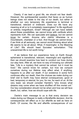Clearly, if we lead a good life, we should not fear death. However, the quintessential question that faces us as human beings does not relate to the day of our death, but rather is whether our very temporary life experience is terminal or transitional, relevant or irrelevant. Does our life have any meaning at all or is it completely meaningless? Is life significant or entirely insignificant, trivial? Although we can have beliefs about these possibilities, we cannot know with certitude which represents truth. We can speculate and *believe*, but we cannot *know* for certain. Anyone who claims otherwise is a mountebank, charlatan or a fool. And though we cannot know, if we think at all seriously, we cannot avoid thinking about what life seems to be all about. What, if meaningful, is the Meaning of Life? We should heed Socrates' exhortation: "The unexamined life is not worth living."

 If we believe that our experience here on Earth though ephemeral is transitional, relevant, meaningful and significant, then we should examine how best to conduct our lives during our stay here. After all, we have no way of knowing our ultimate fate, "Life is a mystery that cannot be solved, but it must be lived." We cannot know for certain, but how we comport ourselves during our lifetime may affect what, if anything, happens to us after our death. If our existence in some form continues after our death, then the choices we make during our brief visit to Earth may have eternal consequences, good or bad, temporary or eternal, for you, for me, for each of us. At the very least, we should consider Hamlet's "who knows what dreams may come when we have shuffled off this mortal coil." Our key consideration should not be when and how we will face death, but, rather, how we should cope with life.

 Dante's main message to us is that every decision we make during our lifespan is really a life/afterlife decision. And its consequences will affect us in our afterlife as well as here on Earth. Of course, the life and afterlife consequences of our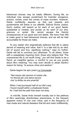#### *Mario Sanci Leo*

behavioral choices may be totally different. During life, an individual may escape punishment for hubristic arrogance, avarice, crimes, even the crimes of mass murders. However, Dante confidently assures us that just rewards and punishments will follow in our afterlife. Eternal Divine Justice, God's Justice, will reward us for each of our good deeds, substantial or modest, and punish us for each of our sins, grievous or venial. We cannot escape the Karmic consequences of our good and evil deeds. We have Free Will to make good or bad behavioral choices, and we will be held accountable for those we make.

To any reader who dogmatically believes that life is utterly devoid of meaning and value, that it "is a tale told by an idiot, full of sound and fury, signifying nothing,**"** read no further. Dante will fail to convince you otherwise. To all others, those with a ceaselessly inquiring mind, those who believe that "The unexamined life is not worth living," you will find Dante to be a friend, an insightful genius, a comfort to you as you puzzle about life's meaning. You may even decide to adopt Dante's reason for being: "to pursue virtue and wisdom."

Dante begins his epic poem *La Commedia*:

 "Nel mezzo del cammin di nostra vita mi ritrovai per una selva oscura che' la diritta via era smarrita"

When I had journeyed half of our life's way I found myself within a shadowed forest, for I had lost the path that does not stray.

 In mid-life, Dante finds himself morally lost in the plethora of life's seemingly directionless phenomena, in the frequent apparent victory of vice over virtue, and in the frequency of man-made and natural disasters that kill and maim indifferently,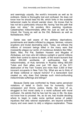and seemingly unjustly, the world's innocents as well as its evildoers. Dante is thoroughly lost and confused. He does not know how he should lead his life, which forks in the available behavioral roads he should wander down. He knows that he has not led a particularly virtuous life, having "lost the path that does not stray." He ponders life's seeming injustices. Catastrophes indiscriminately afflict the Just as well as the Unjust, the Young as well as the Old, Believers as well as Nonbelievers. Why?

Dante was well aware of the arbitrary deprivations, punishments and deaths inflicted by plagues, famines, volcanic eruptions and brutal decimating wars. Today, we witness the millions of innocent beings killed in the many wars that incessantly plague our world, of murderous dictators like Hitler, Stalin, Mao, Pol Pat, Saddam Hussein and Mugabe of Zimbabwe, evil men who kill millions outright or permit millions within their control to starve to death, of the recent tsunami that killed 200,000 worldwide, of earthquakes that kill indiscriminately, of Hutu terrorists in Ruanda killing 800,000 Tutsis and their allies over just 100 days, of the 9/11 destruction of the Twin Towers and more than 3,000 of their innocent occupants in New York City. What are we to think of all these volitional or natural horrors? If a benevolent God created us, why does God tolerate such mind-confounding indiscriminate sufferings and killings?

Because Dante was confronted by these same perceived violations of belief in God's love for humanity, God's compassion and Divine Justice, Dante, like most of us, struggled to find moral clarity in a world suffused with moral confusion. He admits that he has lost his way in life. He does not know how to proceed. He, as do we, has trouble deciding where to begin to make some spiritual sense of patent injustices that defy rational explanation, are beyond scientific inquiry and even seem to defy a religious explanation. These

7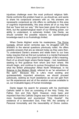injustices challenge even the most profound religious faith. Dante confronts this problem head on, as should we, and wants to share his conjectural answers with us. His answers are necessarily conjectural as Life offers no certitudes in this area of cognitive impenetrability, this area where all of us may feel that we "have lost our way." We have been given the power to think, but the epistemological reach of our thinking power, our ability to understand, is extremely limited. Like Dante, we should consider the possible reasons our epistemological knowledge-reach is so frustratingly limited.

When Dante Alighieri wrote his masterpiece, The Divine Comedy, almost seven centuries ago, he struggled with the answers to the eternal questions previously noted. He offers possible answers that are as relevant today as they were then. To understand Dante's answers and relate them to our lives today requires that we first put ourselves in a mental framework similar to Dante's. In this quest for knowledge of life's meaning. Each of us should begin where Dante began – lost, bewildered, seeking to find guidance from whom and from where. We should begin, and continue to pursue throughout our lifetimes, what the British philosopher Alfred North Whitehead, in his Science in the Modern World, referred to as "an adventure of the spirit." Because this is Life's most exciting and quintessentially important adventure, we should proceed judiciously, seeking as much assistance as we can gain from our life experiences and all of the wisdom sources available to us, our invaluable legacy of human knowledge.

Dante began his search for answers with his doctrinaire Catholic belief in God as consisting of the Holy Trinity, the Father, Son and Holy Spirit. However, more basic and important than this Catholic Dogma was his manifest belief in a more foundational and ecumenical "Holy Quartet": the existence of a benevolent God, Free Will, the certainty of Personal Immortality and the inexorability of Divine Justice.

8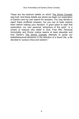These are the bedrock beliefs on which The Divine Comedy was built. And these beliefs are where we begin our exploration of Dante's and my own search for answers. You may decide to reject these proffered answers, but you can at least explore them before making your decision. A good place to start that exploration, our own personal "adventure of the spirit," is a review of reasons why belief in God, Free Will, Personal Immortality and Divine Justice seems at least plausible and how Dante's The Divine Comedy attempts to guide our belief/behavioral decisions in the direction of a Good Life, a life devoted to "pursue virtue and wisdom."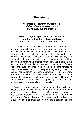### **The Inferno**

#### *Nel mezzo del cammin di nostra vita mi ritrovai per una selva oscura che la diritta via era smarrita*

#### **When I had journeyed half of our life's way I found myself within a shadowed forest for I had lost the path that does not stray**

In the first lines of The Divine Comedy, we learn that Dante has wandered off a familiar path, metaphorically speaking. He has walked aimlessly for a long time and has become completely lost. He falls into a deep sleep, induced by his mental anxiety and physical exhaustion. His anxiety and exhaustion, it turns out, are manifestations of his spiritual anxiety and concomitant mental exhaustion. Dante tells us that he is in the middle of his life, "*Nel mezzo del cammin di nostra vita*," and suddenly finds himself lost in a dark foreboding forest, "*una selva oscura.*" It really is a frightening forest in a spiritual sense. Dante has been searching for Truth on Earth, "had lost the path," and has failed to rediscover it. He is thoroughly confused, bewildered and perplexed. He doesn't know where to look. He is hopelessly alone and lost geographically, intellectually and spiritually.

Dante reasonably assumes that man has Free Will so is capable of Good or Evil. He realizes that his life thus far has not been free of sin. He has been imperfect morally because he has sought material wealth, celebrity status through his writings, and Earthly pleasures. Dante realizes that although he is quite intelligent and well educated, he lacks spiritual light and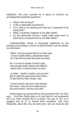edification. We soon surmise he is about to confront our quintessential existential questions:

- What is life all about?
- Is life a meaningful experience?
- If so, what is its meaning and what am I supposed to be doing here?
- What, if anything, happens to me after death?
- Do the behavioral choices I freely make while here on Earth have consequences for me after death?

Understandably, Dante is thoroughly frightened by the strange surroundings in which he finds himself. Lost and afraid, he comments:

"When I had journeyed half of our life's way, I found myself within a shadowed forest, for I had lost the path that does not stray.

Ah. It is hard to speak of what it was, that savage forest, dense and difficult, which even in recall renews my fear:

 so bitter – death is hardly more severe! But to retell the good discovered there, I'll also tell the other things I saw.

I cannot clearly see how I had entered the wood; I was so full of sleep just at the point where I lost the true path."

Dante begins by saying that he has journeyed half "our life's way…" And then Dante goes on to say that he, not necessarily all of us, finds himself lost in a forest. The use of "we" is to suggest that all of us should think sometime, and more frequently, about life, why we were born, why we must die and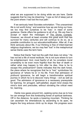what we are supposed to be doing while we are here. Dante suggests that he may be dreaming: "I was so full of sleep just at the point where I had lost the true path."

If we seriously heed Socrates exhortation: "The unexamined life is not worth living," and examine how we are living our lives, we too may find ourselves to be "lost," in need of some guidance. Dante offers his guidance to all of us. We are free to accept or reject the messages of The Divine Comedy. However, we should at least consider this great work that has survived for many centuries and will continue to do so, as a possible contribution to our education/edification. After all, if we think seriously about life, if our thinking is free of infant-learned religious dogmatisms, we too may feel "lost" in the metaphorical sense Dante uses the term here.

Notice that Dante "had lost the path that does not stray." He has not led a life of moral rectitude. He is not sure where to turn for enlightenment. And, most fearful of all, he considers moral uncertainty to be even more frightful than the fear of death or rather what may happen to him after he dies. How is he to escape this predicament? Dante indicates that the dark forest, the place where he recognizes that he is "lost," symbolizes his ignorance of "where he is" in his life. From that admission of profound ignorance, he will begin a transformative spiritual journey in which he is to discover many things – evil as well as good. The admission of ignorance is a necessary prerequisite for learning. An arrogant, self-satisfied, stupid mind closes the mind's door and precludes, without obviating the critical need for, learning.

 Dante now gazes around him, seeking some clue as to how he can emerge from this foreboding forest of spiritual darkness. Off in the distance, he spots a towering mountain. Thinking he can ascertain his whereabouts by ascending to its apex, he begins the long arduous climb up its slope. His progress soon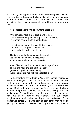is halted by the appearance of three threatening wild animals. They symbolize three moral pitfalls, obstacles to the attainment of our worthiest goals: virtue and wisdom. Dante also associates these symbolic animals with different stages in our lives:

• Leopard: Dante first encounters a leopard:

"And almost where the hillside starts to rise look there! – A leopard, very quick and very lithe, a leopard covered with a spotted hide.

 He did not disappear from sight, but stayed; indeed, he so impeded my ascent that I had often to turn back again.

The time was the beginning of the morning; the sun was rising now in fellowship with the same stars that had escorted it

when Divine Love first moved those things of beauty; so that the hour and the gentle season gave me hopefulness on seeing that beast before me with his speckled skin;"

In the literature of the Middle Ages, the leopard represents the youthful stages of our life. This animal is associated with youthful lust, immoderate self-indulgence, and immoderate desire for bodily pleasures. Confronted by this fearsome wild animal, Dante is fearful. However, his fear is somewhat allayed at least temporarily because "the sun was rising" and "the gentle season" gave him hope that he would be able to find his way out of his danger and dismay. The sun sheds enlightenment and helps to dispel the darkness of the "shadowed forest…" He was gaining confidence that he could get by the leopard; however, the "hope was hardly able to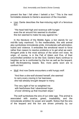prevent the fear I felt when I beheld a lion." This is the next formidable obstacle to Dante's ascension of the mountain.

• Lion: Dante describes the fear-inducing sight of a ferocious lion:

 "His head held high and ravenous with hungereven the air around him seemed to shudderthis lion seemed to make his way against me."

In the literature of the Middle Ages, a lion stands for our mid-life lusty manhood. To the medievalists, this wild animal also symbolizes immoderate pride, immoderate self-admiration, hubris and violence. It embodies the emotional resort to force rather than reason to resolve problems or to get what we want. Arrogant pride is the most serious of the seven evil vices. Its origin, of course, is in the Fall of Adam and Eve, of their uncontrolled ambition to be like God. Dante's fears continue to heighten as he is confronted by the lion as well as the leopard, both life-threatening beasts. But, more perils soon are to confront him!

• Wolf: And now Dante encounters a wild hungry wolf:

 "And then a she-wolf showed herself; she seemed to carry every craving in her leanness; she had already brought despair to many.

 The very sight of her so weighted me with fearfulness that I abandoned hope of ever climbing up that mountain slope."

The wolf symbolizes the sins of our older age. This animal is associated with avarice, greed, insatiability, and the immoderate ambition for power and wealth. Notice that the sins of the leopard and the lion are driven primarily by our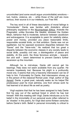uncontrolled (and some would argue uncontrollable) emotions – lust, hubris, violence, etc. – while those of the wolf are more serious, their source is in our intellects, our Free Will.

The key word in all of these descriptions of moral failings is "immoderate." Dante was familiar with Aristotle's ethical philosophy explained in the Nicomachean Ethics. Aristotle the Pragmatist, unlike Socrates the Idealist, stressed the Golden Mean, behavior that is moderate, behavior between asceticism and extravagance. It is acceptable to yearn for celebrity status, power and money, provided you place reasonable limits, responsible societal limits, on that ambition. Dante was not an egalitarian, but he opposed excessive disparities between the "haves" and the "have-nots." He realized that too great a disparity between the economic classes in any society leads to social strife, possibly civil war, a disintegration of peace and stability. At this point, the three ferocious animals – leopard, lion and wolf – seem determined to prevent Dante's further ascension up the mountain.

Although he is mid-slope, Dante still cannot get his bearings. Help does not seem available from any quarter. He remains hopelessly lost. Because his plight is a profoundly moral one, it seems that only a heavenly intercession can be of help to him. Fortunately for Dante, that intercession shows up in the person of the classical Roman poet, Virgil, author of The Aeneid. Dante, a great poet, naturally seeks as his helper the predecessor poet he most admires, one from whose work he had learned a lot about life as well as poetry.

Virgil explains that that he has been assigned to help Dante find his way out of the spiritual forest in which he has lost himself. With this meeting with Virgil, Dante introduces us to his belief in the immortality of our personal souls (often referred to as "shades" in the poem), for Virgil died some thirteen centuries before Dante's birth. Belief in personal immortality is critical to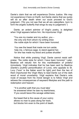Dante's claim that we will experience Divine Justice. We may not experience it here on Earth, but Dante claims that we surely will do so after death when our souls proceed to God's judgment. ("Do you not see that we all are caterpillars, born to form the angelic butterfly that wings its way to judgement.")

Dante, an ardent admirer of Virgil's poetry, is delighted when Virgil appears before him. He importunes Virgil:

"You are my master and my author, you – the only one from whom my writing drew the noble style for which I have been honored.

 You see the beast that made me turn aside; help me, o famous sage, to stand against her, for she has made my blood and pulses shudder."

Notice that while praising Virgil, Dante cannot resist selfpraise: "the noble style for which I have been honored." Later, Beatrice will rebuke him for this manifestation of prideful immodesty. Virgil indicates that he has been sent by Beatrice (Dante's youthful personification of Love), who appeals to St. Lucy ("luce" is the Italian word for light) and then the two of them importuned the Virgin Mary to lead Dante out of the dark wood of moral uncertainty. Virgil explains that Dante's sole route of escape from his moral danger is to follow Virgil and witness the consequences of wayward lifestyles and the path to redemption and heaven:

"'It is another path that you must take' he answered when he saw my tearfulness, 'if you would leave this savage wilderness;

the beast that is the cause of your outcry allows no man to pass along her track, but blocks him even to the point of death.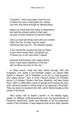…

Therefore, I think and judge it best for you to follow me, and I shall guide you, taking you from this place through an eternal place,

where you shall hear the howls of desperation and see the ancient spirits in their pain, as each of them laments his second death;

and you shall see those souls who are content within the fire, for they hope to reach whenever that may be – the blessed people.

If you would then ascend as high as these; a soul more worthy than I will guide you; I'll leave you in her care when I depart,

because that Emperor who reigns above, since I have been rebellious to His law, will not allow me entry to His city.'"

In other words, Virgil will lead Dante through Hell and Purgatory, but, being a pre-Christian pagan, he cannot take Dante to Heaven. He is forbidden to do so by "that Emperor who reigns above," God. A more virtuous person (in Christian terms), a Christian, Dante's first love, Beatrice, will take Dante there. With no alternative route of escape and trusting his hero poet, Dante proceeds to follow Virgil to an opening in the Earth. They are about to descend into Hell, which Dante locates at the center of the Earth.

Why locate Hell at Earth's center? In the Middle Ages, based on Biblical anthropocentricity and the geocentricity of Ptolemy's astronomy, Earth was deemed to be the stationary center of the Universe. It was believed that all the other planets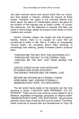and stars revolved above and around Earth (like our moon), and God resided in Heaven, infinitely far beyond all these bodies. Therefore, the region in the Universe farthest from God's grace, the place for irredeemable sinners, the place for the location of Hell logically was at Earth's center. Of course, this astronomy, and the statement in Genesis that Man was made in God's image, placed all humans at the center of God's Creation and concern.

Dante's Christian religion has taught him that throughout eternity, forever, there is no escape for souls that are condemned to suffer in Hell. Hell is, in effect, an inescapable "second death." An inscription above Hell's entrance, in exceedingly bold lettering, greatly increases Dante's profound fears:

"THROUGH ME THE WAY INTO THE SUFFERING CITY, THROUGH ME THE WAY TO THE ETERNAL PAIN, THROUGH ME THE WAY THAT RUNS AMONG THE LOST.

JUSTICE URGED ON MY HIGH ARTIFICER; MY MAKER WAS DIVINE AUTHORITY. THE HIGHEST WISDOM AND THE PRIMAL LOVE.

BEFORE ME NOTHING BUT ETERNAL THINGS WERE MADE, AND I ENDURE ETERNALLY. ABANDON EVERY HOPE, YOU WHO ENTER."

The last words Dante reads on the inscription are the most daunting to Dante: "LASCIATE OGNI SPERANZA, VOI CH' ENTRATE." These are the most ominous words uttered in all of literature, regardless of language, geography or religious belief: "ABANDON EVERY HOPE, YOU WHO ENTER." Should Dante abandon every hope of leaving Hell once he enters? Trembling, Dante continues to express fear and bewilderment to Virgil. He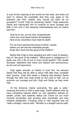is sure of the meaning of the words he has read, and does not want to chance the possibility that they may apply to his entrance into Hell. Indeed, why should his entry be an exception? Could Virgil be deceiving Dante? Virgil reassures Dante and importunes him to continue to have courage and faith in him and in the heavenly intermediaries who he claims sent him:

"And he to me, as one who comprehends: 'Here one must leave behind all hesitation; here every cowardice must meet its death.

For we have reached the place of which I spoke, where you will see the miserable people, those who have lost the good of the intellect.'"

Notice that Virgil is here equating evil with a lack of wisdom, loss of "the good of the intellect." What good is intelligence if it leads one into a life of evil or even moral apathy? This recalls Socrates' statement that virtue and wisdom are synonymous, as are evil and ignorance.

Virgil again prevails on Dante to trust him. He assures Dante that they will be able to leave Hell after they complete their journey. Virgil then leads a shaking fear-stricken Dante through the dark very wide portal on the road to Hell. Let us summon our courage and join Virgil and Dante as they enter Hell.

 At the entrance, Dante comments "the gate is wide," meaning that entry to Hell is quite easy. Dante believes that we have competing natures within us. Our appetitive desires for wealth, power, and celebrity status can crowd out our more humane proclivities that promise less immediate and less material satisfaction. Avoiding entry to Hell requires that we "walk a straight, narrow path." Morality is a straight narrow path;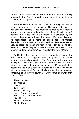it does not permit deviations from that path. Moreover, morality requires that we "walk" the path; moral neutrality or indifference to evil is not acceptable.

Moral choices need not be predicated on religious beliefs; frequently they are not so motivated. The moral path taken by non-believing altruists is not expected to lead to post-mortem rewards, so that path tends to be particularly difficult and selfdenying. For these individuals, sacrifice is actuated by the emotion of empathy for those who suffer in life, or sacrifice may be rationalized as a form of enlightened self-interest. Regardless of the source, morality and sacrifice never are as easy to accept as is self-gratification. Sin often seems to offer more "fun;" virtue frequently seems austere. However, virtue, properly understood, offers "joy," a sublimated form of "fun."

As Dante enters Hell with Virgil as his guide he learns that Hell is shaped like a gigantic descending cone. The cone's entrance is secretly located on Earth's surface in the northern hemisphere. Hell has a pre-Inferno chamber called the Ante-Inferno and nine other descending levels. Paths and stairs descend to the ever lower conical sections of Hell. Each conical section is designated for individuals whose sins, increasingly egregious as you move downward, were committed while they lived on Earth:

The Ante-Inferno The Circles: One – Limbo  $Two - Lust$ Three – Gluttony Four – Avarice and Waste Five – Wrath and Sullenness Six – Heresy Seven – Violence Eight – Fraud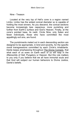Nine - Treason

Located at the very top of Hell's cone is a region named Limbo. Limbo has the widest conical diameter so is capable of holding the most sinners. As you descend, the conical sections become increasingly less capacious, more punishing and further from Earth's surface and God's Heaven. Finally, at the cone's pointed base, its nadir, Circle Nine, only Satan and fewer individuals, those who have committed the most appallingly evil sins, are found.

The punishments meted out in each descending section are designed to be appropriate, in kind and severity, for the specific moral transgressions committed by each Circle's inhabitants. Dante keeps emphasizing throughout The Divine Comedy, that what each of us sows on Earth each of us will reap in the Afterworlds of Hell, Purgatory or Heaven. But this rule matters to you only if you believe that we all have immortal souls and that God will subject our human behaviors to Divine Justice, Dante's beliefs